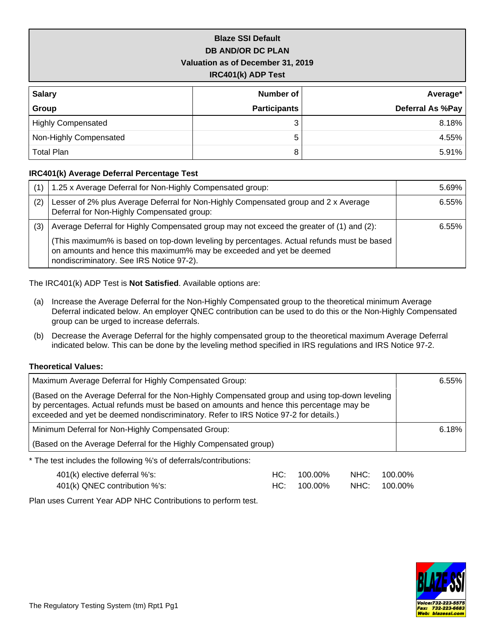## **Blaze SSI Default DB AND/OR DC PLAN Valuation as of December 31, 2019 IRC401(k) ADP Test**

| <b>Salary</b>             | Number of           | Average*         |
|---------------------------|---------------------|------------------|
| Group                     | <b>Participants</b> | Deferral As %Pay |
| <b>Highly Compensated</b> |                     | 8.18%            |
| Non-Highly Compensated    | 5                   | 4.55%            |
| <b>Total Plan</b>         | 8                   | 5.91%            |

### **IRC401(k) Average Deferral Percentage Test**

|     | 1.25 x Average Deferral for Non-Highly Compensated group:                                                                                                                                                     | 5.69% |
|-----|---------------------------------------------------------------------------------------------------------------------------------------------------------------------------------------------------------------|-------|
| (2) | Lesser of 2% plus Average Deferral for Non-Highly Compensated group and 2 x Average<br>Deferral for Non-Highly Compensated group:                                                                             | 6.55% |
| (3) | Average Deferral for Highly Compensated group may not exceed the greater of (1) and (2):                                                                                                                      | 6.55% |
|     | (This maximum% is based on top-down leveling by percentages. Actual refunds must be based<br>on amounts and hence this maximum% may be exceeded and yet be deemed<br>nondiscriminatory. See IRS Notice 97-2). |       |

The IRC401(k) ADP Test is **Not Satisfied**. Available options are:

- (a) Increase the Average Deferral for the Non-Highly Compensated group to the theoretical minimum Average Deferral indicated below. An employer QNEC contribution can be used to do this or the Non-Highly Compensated group can be urged to increase deferrals.
- (b) Decrease the Average Deferral for the highly compensated group to the theoretical maximum Average Deferral indicated below. This can be done by the leveling method specified in IRS regulations and IRS Notice 97-2.

### **Theoretical Values:**

| Maximum Average Deferral for Highly Compensated Group:                                                                                                                                                                                                                              | 6.55% |
|-------------------------------------------------------------------------------------------------------------------------------------------------------------------------------------------------------------------------------------------------------------------------------------|-------|
| (Based on the Average Deferral for the Non-Highly Compensated group and using top-down leveling<br>by percentages. Actual refunds must be based on amounts and hence this percentage may be<br>exceeded and yet be deemed nondiscriminatory. Refer to IRS Notice 97-2 for details.) |       |
| Minimum Deferral for Non-Highly Compensated Group:                                                                                                                                                                                                                                  | 6.18% |
| (Based on the Average Deferral for the Highly Compensated group)                                                                                                                                                                                                                    |       |
| * The test includes the following %'s of deferrals/contributions:                                                                                                                                                                                                                   |       |

| 401(k) elective deferral %'s: | HC: 100.00% | NHC: 100.00% |
|-------------------------------|-------------|--------------|
| 401(k) QNEC contribution %'s: | HC: 100.00% | NHC: 100.00% |

Plan uses Current Year ADP NHC Contributions to perform test.

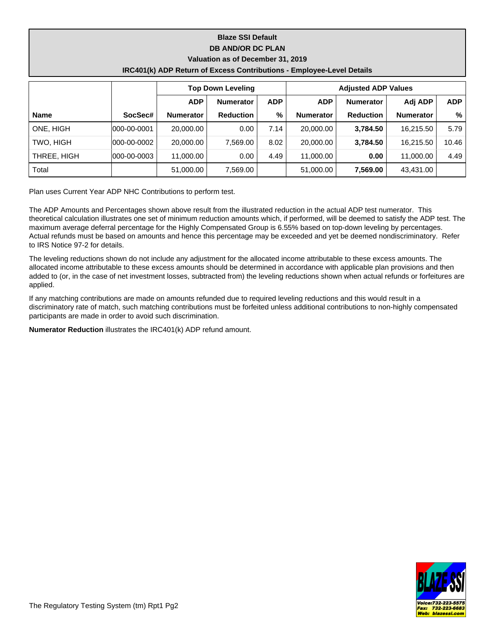# **Blaze SSI Default DB AND/OR DC PLAN Valuation as of December 31, 2019**

| IRC401(k) ADP Return of Excess Contributions - Employee-Level Details |  |  |
|-----------------------------------------------------------------------|--|--|
|-----------------------------------------------------------------------|--|--|

|             |                     |                  | <b>Top Down Leveling</b>       |      |                  | <b>Adjusted ADP Values</b> |                  |            |  |  |  |
|-------------|---------------------|------------------|--------------------------------|------|------------------|----------------------------|------------------|------------|--|--|--|
|             |                     | <b>ADP</b>       | <b>ADP</b><br><b>Numerator</b> |      | <b>ADP</b>       | <b>Numerator</b>           | Adj ADP          | <b>ADP</b> |  |  |  |
| <b>Name</b> | SocSec#             | <b>Numerator</b> | <b>Reduction</b>               | %    | <b>Numerator</b> | <b>Reduction</b>           | <b>Numerator</b> | %          |  |  |  |
| ONE, HIGH   | $1000 - 00 - 0001$  | 20,000,00        | 0.00                           | 7.14 | 20,000,00        | 3.784.50                   | 16.215.50        | 5.79       |  |  |  |
| TWO. HIGH   | 000-00-0002         | 20,000,00        | 7.569.00                       | 8.02 | 20,000,00        | 3.784.50                   | 16.215.50        | 10.46      |  |  |  |
| THREE, HIGH | $ 000 - 00 - 0003 $ | 11.000.00        | 0.00                           | 4.49 | 11.000.00        | 0.00                       | 11,000.00        | 4.49       |  |  |  |
| Total       |                     | 51,000.00        | 7.569.00                       |      | 51,000.00        | 7,569.00                   | 43,431.00        |            |  |  |  |

Plan uses Current Year ADP NHC Contributions to perform test.

The ADP Amounts and Percentages shown above result from the illustrated reduction in the actual ADP test numerator. This theoretical calculation illustrates one set of minimum reduction amounts which, if performed, will be deemed to satisfy the ADP test. The maximum average deferral percentage for the Highly Compensated Group is 6.55% based on top-down leveling by percentages. Actual refunds must be based on amounts and hence this percentage may be exceeded and yet be deemed nondiscriminatory. Refer to IRS Notice 97-2 for details.

The leveling reductions shown do not include any adjustment for the allocated income attributable to these excess amounts. The allocated income attributable to these excess amounts should be determined in accordance with applicable plan provisions and then added to (or, in the case of net investment losses, subtracted from) the leveling reductions shown when actual refunds or forfeitures are applied.

If any matching contributions are made on amounts refunded due to required leveling reductions and this would result in a discriminatory rate of match, such matching contributions must be forfeited unless additional contributions to non-highly compensated participants are made in order to avoid such discrimination.

**Numerator Reduction** illustrates the IRC401(k) ADP refund amount.

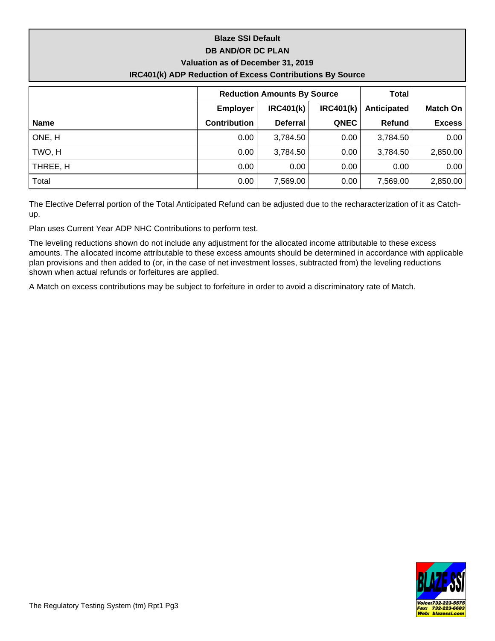# **Blaze SSI Default DB AND/OR DC PLAN Valuation as of December 31, 2019 IRC401(k) ADP Reduction of Excess Contributions By Source**

|             |                     | <b>Reduction Amounts By Source</b> | <b>Total</b> |             |               |
|-------------|---------------------|------------------------------------|--------------|-------------|---------------|
|             | <b>Employer</b>     | IRC401(k)<br><b>IRC401(k)</b>      |              | Anticipated | Match On      |
| <b>Name</b> | <b>Contribution</b> | <b>Deferral</b>                    | <b>QNEC</b>  | Refund      | <b>Excess</b> |
| ONE, H      | 0.00                | 3,784.50                           | 0.00         | 3,784.50    | 0.00          |
| TWO, H      | 0.00                | 3,784.50                           | 0.00         | 3,784.50    | 2,850.00      |
| THREE, H    | 0.00                | 0.00                               | 0.00         | 0.00        | 0.00          |
| Total       | 0.00                | 7,569.00                           | 0.00         | 7,569.00    | 2,850.00      |

The Elective Deferral portion of the Total Anticipated Refund can be adjusted due to the recharacterization of it as Catchup.

Plan uses Current Year ADP NHC Contributions to perform test.

The leveling reductions shown do not include any adjustment for the allocated income attributable to these excess amounts. The allocated income attributable to these excess amounts should be determined in accordance with applicable plan provisions and then added to (or, in the case of net investment losses, subtracted from) the leveling reductions shown when actual refunds or forfeitures are applied.

A Match on excess contributions may be subject to forfeiture in order to avoid a discriminatory rate of Match.

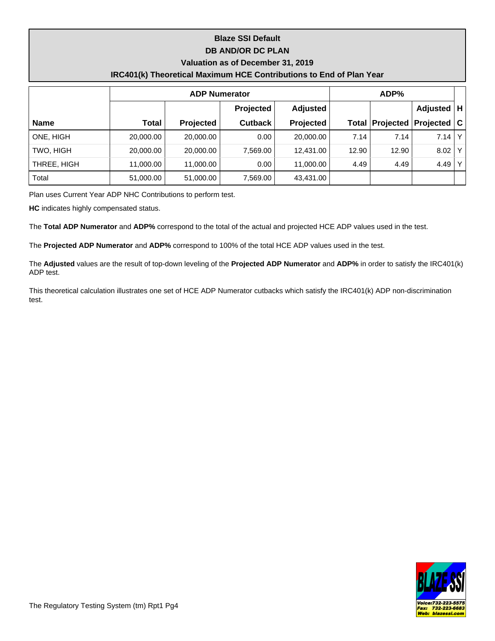## **Blaze SSI Default DB AND/OR DC PLAN**

#### **Valuation as of December 31, 2019**

### **IRC401(k) Theoretical Maximum HCE Contributions to End of Plan Year**

|             |           | ADP%      |                |                 |       |                                  |                 |                |
|-------------|-----------|-----------|----------------|-----------------|-------|----------------------------------|-----------------|----------------|
|             |           |           | Projected      | <b>Adjusted</b> |       |                                  | <b>Adjusted</b> | H              |
| <b>Name</b> | Total     | Projected | <b>Cutback</b> | Projected       |       | <b>Total Projected Projected</b> |                 | ∣C I           |
| ONE, HIGH   | 20,000.00 | 20,000.00 | 0.00           | 20,000.00       | 7.14  | 7.14                             | 7.14            | ΥI             |
| TWO, HIGH   | 20,000.00 | 20,000.00 | 7,569.00       | 12,431.00       | 12.90 | 12.90                            | 8.02            | Y <sub>1</sub> |
| THREE, HIGH | 11,000.00 | 11,000.00 | 0.00           | 11,000.00       | 4.49  | 4.49                             | 4.49            |                |
| Total       | 51,000.00 | 51,000.00 | 7,569.00       | 43,431.00       |       |                                  |                 |                |

Plan uses Current Year ADP NHC Contributions to perform test.

**HC** indicates highly compensated status.

The **Total ADP Numerator** and **ADP%** correspond to the total of the actual and projected HCE ADP values used in the test.

The **Projected ADP Numerator** and **ADP%** correspond to 100% of the total HCE ADP values used in the test.

The **Adjusted** values are the result of top-down leveling of the **Projected ADP Numerator** and **ADP%** in order to satisfy the IRC401(k) ADP test.

This theoretical calculation illustrates one set of HCE ADP Numerator cutbacks which satisfy the IRC401(k) ADP non-discrimination test.

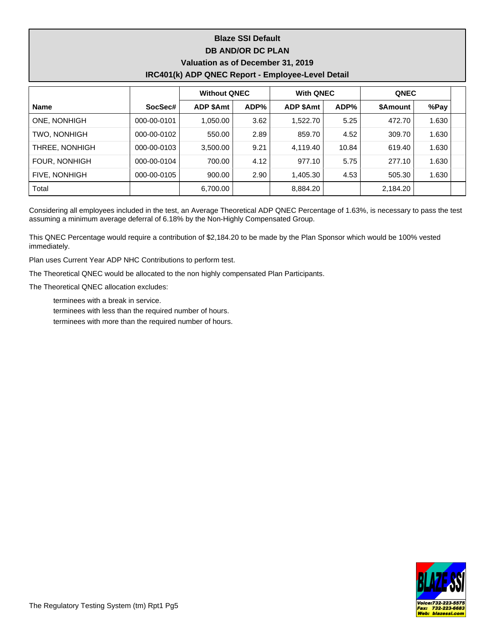# **Blaze SSI Default DB AND/OR DC PLAN Valuation as of December 31, 2019 IRC401(k) ADP QNEC Report - Employee-Level Detail**

|                      |             | <b>Without QNEC</b> |      | <b>With QNEC</b> |       | <b>QNEC</b>     |       |  |
|----------------------|-------------|---------------------|------|------------------|-------|-----------------|-------|--|
| <b>Name</b>          | SocSec#     | <b>ADP \$Amt</b>    | ADP% | ADP \$Amt        | ADP%  | <b>\$Amount</b> | %Pay  |  |
| ONE, NONHIGH         | 000-00-0101 | 1,050.00            | 3.62 | 1,522.70         | 5.25  | 472.70          | 1.630 |  |
| <b>TWO, NONHIGH</b>  | 000-00-0102 | 550.00              | 2.89 | 859.70           | 4.52  | 309.70          | 1.630 |  |
| THREE, NONHIGH       | 000-00-0103 | 3,500.00            | 9.21 | 4,119.40         | 10.84 | 619.40          | 1.630 |  |
| <b>FOUR, NONHIGH</b> | 000-00-0104 | 700.00              | 4.12 | 977.10           | 5.75  | 277.10          | 1.630 |  |
| <b>FIVE, NONHIGH</b> | 000-00-0105 | 900.00              | 2.90 | 1,405.30         | 4.53  | 505.30          | 1.630 |  |
| Total                |             | 6,700.00            |      | 8,884.20         |       | 2,184.20        |       |  |

Considering all employees included in the test, an Average Theoretical ADP QNEC Percentage of 1.63%, is necessary to pass the test assuming a minimum average deferral of 6.18% by the Non-Highly Compensated Group.

This QNEC Percentage would require a contribution of \$2,184.20 to be made by the Plan Sponsor which would be 100% vested immediately.

Plan uses Current Year ADP NHC Contributions to perform test.

The Theoretical QNEC would be allocated to the non highly compensated Plan Participants.

The Theoretical QNEC allocation excludes:

terminees with a break in service.

terminees with less than the required number of hours.

terminees with more than the required number of hours.